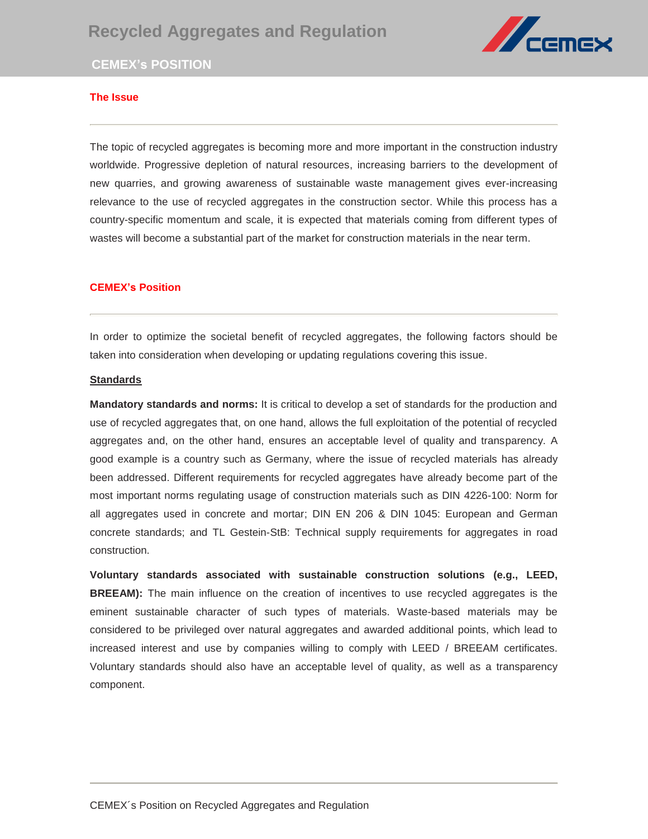# **Recycled Aggregates and Regulation**



# **CEMEX's POSITION**

## **The Issue**

The topic of recycled aggregates is becoming more and more important in the construction industry worldwide. Progressive depletion of natural resources, increasing barriers to the development of vertical arcuiton current of current of current and creation. new quarries, and growing awareness of sustainable waste management gives ever-increasing relevance to the use of recycled aggregates in the construction sector. While this process has a country-specific momentum and scale, it is expected that materials coming from different types of wastes will become a substantial part of the market for construction materials in the near term.

### **CEMEX's Position**

In order to optimize the societal benefit of recycled aggregates, the following factors should be taken into consideration when developing or updating regulations covering this issue.

#### **Standards**

**Mandatory standards and norms:** It is critical to develop a set of standards for the production and use of recycled aggregates that, on one hand, allows the full exploitation of the potential of recycled aggregates and, on the other hand, ensures an acceptable level of quality and transparency. A good example is a country such as Germany, where the issue of recycled materials has already been addressed. Different requirements for recycled aggregates have already become part of the most important norms regulating usage of construction materials such as DIN 4226-100: Norm for all aggregates used in concrete and mortar; DIN EN 206 & DIN 1045: European and German concrete standards; and TL Gestein-StB: Technical supply requirements for aggregates in road construction.

**Voluntary standards associated with sustainable construction solutions (e.g., LEED, BREEAM):** The main influence on the creation of incentives to use recycled aggregates is the eminent sustainable character of such types of materials. Waste-based materials may be considered to be privileged over natural aggregates and awarded additional points, which lead to increased interest and use by companies willing to comply with LEED / BREEAM certificates. Voluntary standards should also have an acceptable level of quality, as well as a transparency component.